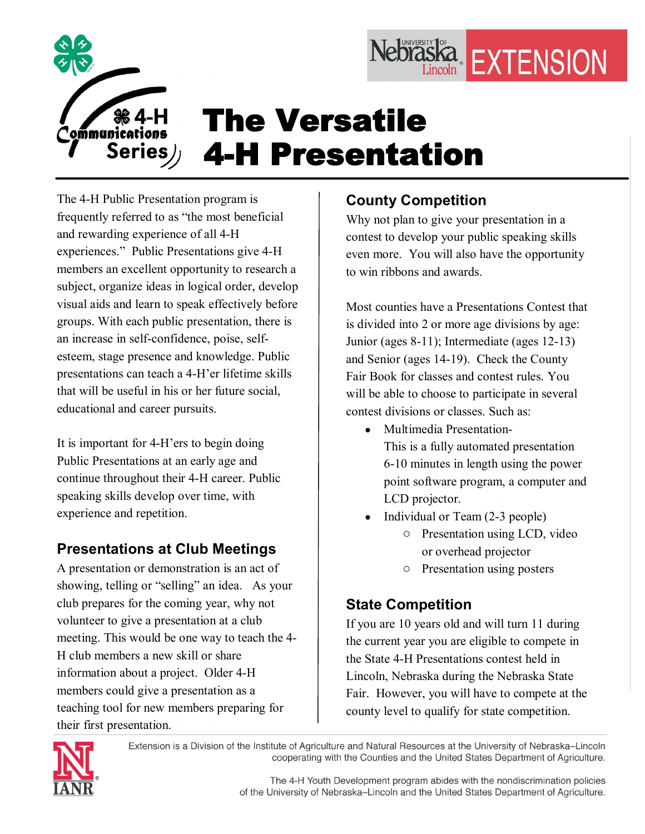

# The Versatile **4-H Presentation**

The 4-H Public Presentation program is frequently referred to as "the most beneficial and rewarding experience of all 4H experiences." Public Presentations give 4-H members an excellent opportunity to research a subject, organize ideas in logical order, develop visual aids and learn to speak effectively before groups. With each public presentation, there is an increase in self-confidence, poise, selfesteem, stage presence and knowledge. Public presentations can teach a 4-H'er lifetime skills that will be useful in his or her future social, educational and career pursuits.

It is important for 4H'ers to begin doing Public Presentations at an early age and continue throughout their 4-H career. Public speaking skills develop over time, with experience and repetition.

## **Presentations at Club Meetings**

A presentation or demonstration is an act of showing, telling or "selling" an idea. As your club prepares for the coming year, why not volunteer to give a presentation at a club meeting. This would be one way to teach the 4 H club members a new skill or share information about a project. Older 4-H members could give a presentation as a teaching tool for new members preparing for their first presentation.

# **County Competition**

Why not plan to give your presentation in a contest to develop your public speaking skills even more. You will also have the opportunity to win ribbons and awards.

Nebraska EXTENSION

Most counties have a Presentations Contest that is divided into 2 or more age divisions by age: Junior (ages 8-11); Intermediate (ages 12-13) and Senior (ages 14-19). Check the County Fair Book for classes and contest rules. You will be able to choose to participate in several contest divisions or classes. Such as:

· Multimedia Presentation

This is a fully automated presentation 610 minutes in length using the power point software program, a computer and LCD projector.

- Individual or Team (2-3 people)
	- o Presentation using LCD, video or overhead projector
	- o Presentation using posters

## **State Competition**

If you are 10 years old and will turn 11 during the current year you are eligible to compete in the State 4-H Presentations contest held in Lincoln, Nebraska during the Nebraska State Fair. However, you will have to compete at the county level to qualify for state competition.



Extension is a Division of the Institute of Agriculture and Natural Resources at the University of Nebraska-Lincoln cooperating with the Counties and the United States Department of Agriculture.

> The 4-H Youth Development program abides with the nondiscrimination policies of the University of Nebraska-Lincoln and the United States Department of Agriculture.